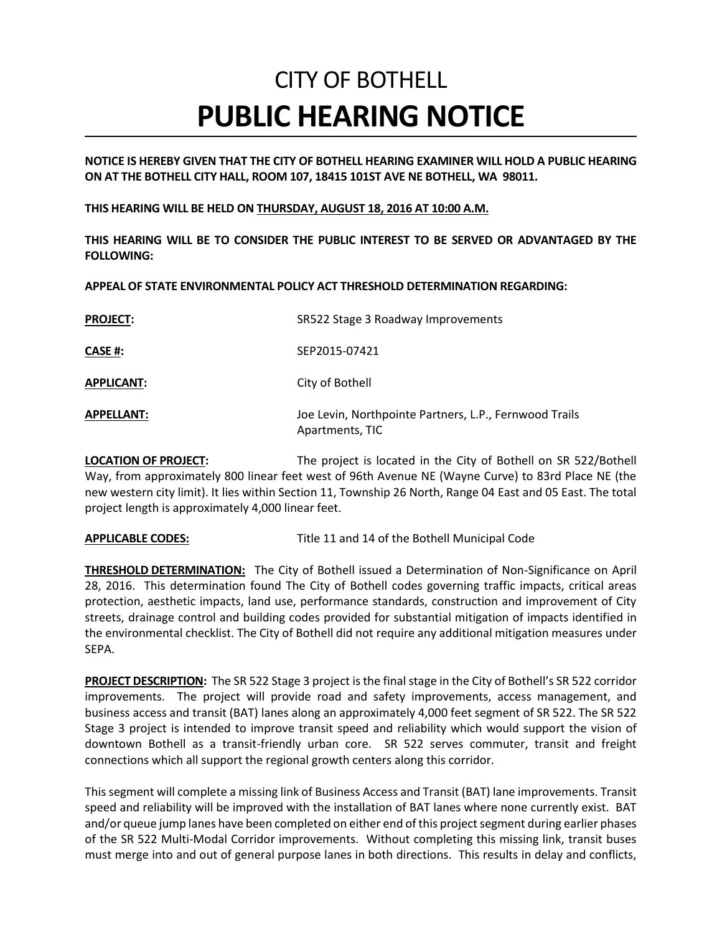## CITY OF BOTHELL **PUBLIC HEARING NOTICE**

**NOTICE IS HEREBY GIVEN THAT THE CITY OF BOTHELL HEARING EXAMINER WILL HOLD A PUBLIC HEARING ON AT THE BOTHELL CITY HALL, ROOM 107, 18415 101ST AVE NE BOTHELL, WA 98011.** 

**THIS HEARING WILL BE HELD ON THURSDAY, AUGUST 18, 2016 AT 10:00 A.M.**

**THIS HEARING WILL BE TO CONSIDER THE PUBLIC INTEREST TO BE SERVED OR ADVANTAGED BY THE FOLLOWING:**

**APPEAL OF STATE ENVIRONMENTAL POLICY ACT THRESHOLD DETERMINATION REGARDING:**

| <b>PROJECT:</b>   | SR522 Stage 3 Roadway Improvements                                        |
|-------------------|---------------------------------------------------------------------------|
| CASE #:           | SEP2015-07421                                                             |
| <b>APPLICANT:</b> | City of Bothell                                                           |
| <b>APPELLANT:</b> | Joe Levin, Northpointe Partners, L.P., Fernwood Trails<br>Apartments, TIC |

**LOCATION OF PROJECT:** The project is located in the City of Bothell on SR 522/Bothell Way, from approximately 800 linear feet west of 96th Avenue NE (Wayne Curve) to 83rd Place NE (the new western city limit). It lies within Section 11, Township 26 North, Range 04 East and 05 East. The total project length is approximately 4,000 linear feet.

**APPLICABLE CODES:** Title 11 and 14 of the Bothell Municipal Code

**THRESHOLD DETERMINATION:** The City of Bothell issued a Determination of Non-Significance on April 28, 2016. This determination found The City of Bothell codes governing traffic impacts, critical areas protection, aesthetic impacts, land use, performance standards, construction and improvement of City streets, drainage control and building codes provided for substantial mitigation of impacts identified in the environmental checklist. The City of Bothell did not require any additional mitigation measures under SEPA.

**PROJECT DESCRIPTION:** The SR 522 Stage 3 project is the final stage in the City of Bothell's SR 522 corridor improvements. The project will provide road and safety improvements, access management, and business access and transit (BAT) lanes along an approximately 4,000 feet segment of SR 522. The SR 522 Stage 3 project is intended to improve transit speed and reliability which would support the vision of downtown Bothell as a transit-friendly urban core. SR 522 serves commuter, transit and freight connections which all support the regional growth centers along this corridor.

This segment will complete a missing link of Business Access and Transit (BAT) lane improvements. Transit speed and reliability will be improved with the installation of BAT lanes where none currently exist. BAT and/or queue jump lanes have been completed on either end of this project segment during earlier phases of the SR 522 Multi-Modal Corridor improvements. Without completing this missing link, transit buses must merge into and out of general purpose lanes in both directions. This results in delay and conflicts,